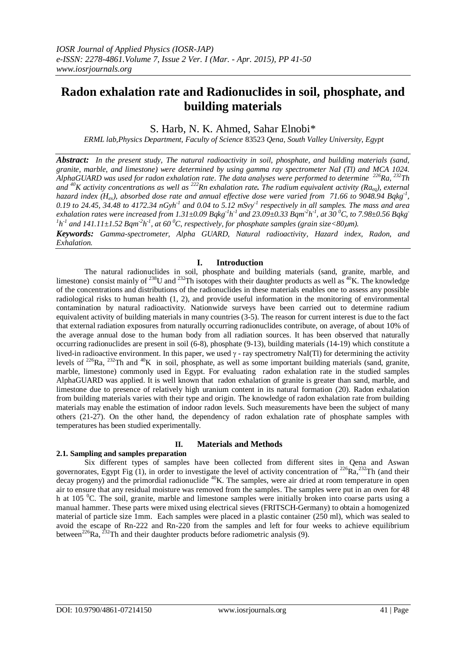# **Radon exhalation rate and Radionuclides in soil, phosphate, and building materials**

S. Harb, N. K. Ahmed, Sahar Elnobi\*

*ERML lab,Physics Department, Faculty of Science* 83523 *Qena, South Valley University, Egypt*

*Abstract: In the present study, The natural radioactivity in soil, phosphate, and building materials (sand, granite, marble, and limestone) were determined by using gamma ray spectrometer NaI (Tl) and MCA 1024. AlphaGUARD was used for radon exhalation rate. The data analyses were performed to determine <sup>226</sup>Ra, <sup>232</sup>Th and*  $^{40}$ K activity concentrations as well as  $^{222}$ Rn exhalation rate. The radium equivalent activity ( $Ra_{eq}$ ), external  $\frac{1}{2}$ *hazard index (Hex), absorbed dose rate and annual effective dose were varied from 71.66 to 9048.94 Bqkg-1 , 0.19 to 24.45, 34.48 to 4172.34 nGyh-1 and 0.04 to 5.12 mSvy -1 respectively in all samples. The mass and area exhalation rates were increased from 1.31*±0.09 Bqkg<sup>-1</sup>h<sup>-1</sup> and 23.09±0.33 Bqm<sup>-2</sup>h<sup>-1</sup>, at 30 <sup>0</sup>C, to 7.98±0.56 Bqkg<sup>-</sup>  $^{1}h^{1}$  and 141.11±1.52 Bqm<sup>-2</sup>h<sup>-1</sup>, at 60<sup>0</sup>C, respectively, for phosphate samples (grain size<80 $\mu$ m).

*Keywords: Gamma-spectrometer, Alpha GUARD, Natural radioactivity, Hazard index, Radon, and Exhalation.*

# **I. Introduction**

The natural radionuclides in soil, phosphate and building materials (sand, granite, marble, and limestone) consist mainly of  $^{238}$ U and  $^{232}$ Th isotopes with their daughter products as well as  $^{40}$ K. The knowledge of the concentrations and distributions of the radionuclides in these materials enables one to assess any possible radiological risks to human health (1, 2), and provide useful information in the monitoring of environmental contamination by natural radioactivity. Nationwide surveys have been carried out to determine radium equivalent activity of building materials in many countries (3-5). The reason for current interest is due to the fact that external radiation exposures from naturally occurring radionuclides contribute, on average, of about 10% of the average annual dose to the human body from all radiation sources. It has been observed that naturally occurring radionuclides are present in soil (6-8), phosphate (9-13), building materials (14-19) which constitute a lived-in radioactive environment. In this paper, we used  $\gamma$  - ray spectrometry NaI(Tl) for determining the activity levels of  $226$ Ra,  $232$ Th and  $40$ K in soil, phosphate, as well as some important building materials (sand, granite, marble, limestone) commonly used in Egypt. For evaluating radon exhalation rate in the studied samples AlphaGUARD was applied. It is well known that radon exhalation of granite is greater than sand, marble, and limestone due to presence of relatively high uranium content in its natural formation (20). Radon exhalation from building materials varies with their type and origin. The knowledge of radon exhalation rate from building materials may enable the estimation of indoor radon levels. Such measurements have been the subject of many others (21-27). On the other hand, the dependency of radon exhalation rate of phosphate samples with temperatures has been studied experimentally.

# **II. Materials and Methods**

# **2.1. Sampling and samples preparation**

Six different types of samples have been collected from different sites in Qena and Aswan governorates, Egypt Fig  $(1)$ , in order to investigate the level of activity concentration of <sup>226</sup>Ra,<sup>232</sup>Th (and their  $\frac{d}{dx}$  decay progeny) and the primordial radionuclide  $40$ K. The samples, were air dried at room temperature in open air to ensure that any residual moisture was removed from the samples. The samples were put in an oven for 48 h at 105 <sup>o</sup>C. The soil, granite, marble and limestone samples were initially broken into coarse parts using a manual hammer. These parts were mixed using electrical sieves (FRITSCH-Germany) to obtain a homogenized material of particle size 1mm. Each samples were placed in a plastic container (250 ml), which was sealed to avoid the escape of Rn-222 and Rn-220 from the samples and left for four weeks to achieve equilibrium between<sup>226</sup>Ra,  $^{232}$ Th and their daughter products before radiometric analysis (9).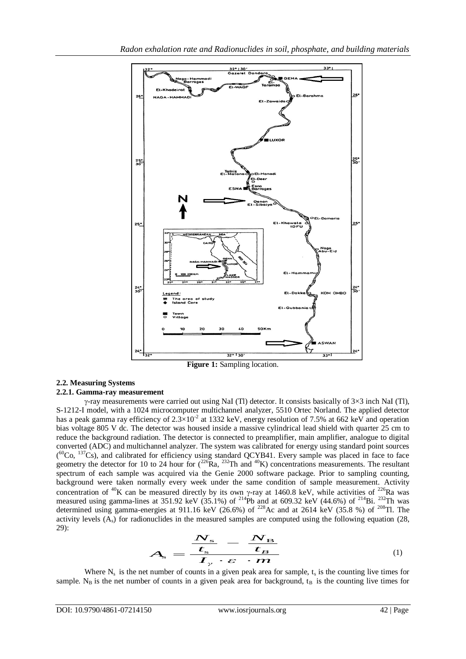

**Figure 1:** Sampling location.

#### **2.2. Measuring Systems 2.2.1. Gamma-ray measurement**

 $\gamma$ -ray measurements were carried out using NaI (Tl) detector. It consists basically of 3×3 inch NaI (Tl), S-1212-I model, with a 1024 microcomputer multichannel analyzer, 5510 Ortec Norland. The applied detector has a peak gamma ray efficiency of  $2.3 \times 10^{-2}$  at 1332 keV, energy resolution of 7.5% at 662 keV and operation bias voltage 805 V dc. The detector was housed inside a massive cylindrical lead shield with quarter 25 cm to reduce the background radiation. The detector is connected to preamplifier, main amplifier, analogue to digital converted (ADC) and multichannel analyzer. The system was calibrated for energy using standard point sources  $(^{60}Co, ^{137}Cs)$ , and calibrated for efficiency using standard QCYB41. Every sample was placed in face to face geometry the detector for 10 to 24 hour for  $(^{226}Ra, ^{232}Th$  and  $^{40}K)$  concentrations measurements. The resultant spectrum of each sample was acquired via the Genie 2000 software package. Prior to sampling counting, background were taken normally every week under the same condition of sample measurement. Activity concentration of <sup>40</sup>K can be measured directly by its own  $\gamma$ -ray at 1460.8 keV, while activities of <sup>226</sup>Ra was measured using gamma-lines at 351.92 keV (35.1%) of <sup>214</sup>Pb and at 609.32 keV (44.6%) of <sup>214</sup>Bi. <sup>232</sup>Th was determined using gamma-energies at 911.16 keV (26.6%) of <sup>228</sup>Ac and at 2614 keV (35.8 %) of <sup>208</sup>Tl. The activity levels  $(A<sub>s</sub>)$  for radionuclides in the measured samples are computed using the following equation (28, 29):

$$
A_{\rm s} = \frac{\frac{N_{\rm s}}{t_{\rm s}} - \frac{N_{\rm B}}{t_{\rm B}}}{I_{\gamma} \cdot \varepsilon \cdot m}
$$
 (1)

Where  $N_s$  is the net number of counts in a given peak area for sample,  $t_s$  is the counting live times for sample. N<sub>B</sub> is the net number of counts in a given peak area for background,  $t_B$  is the counting live times for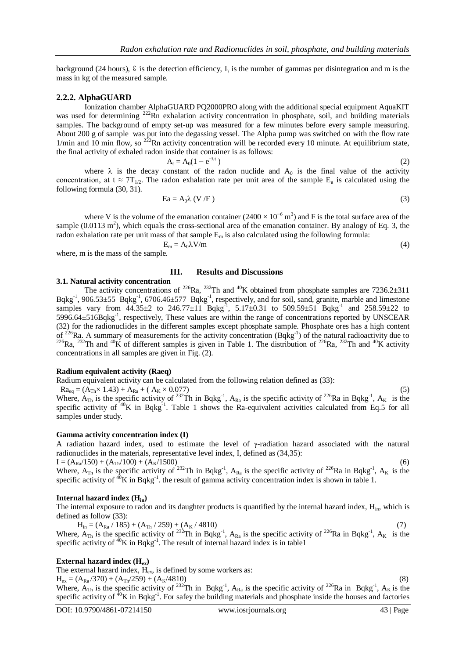background (24 hours),  $\epsilon$  is the detection efficiency,  $I_{\gamma}$  is the number of gammas per disintegration and m is the mass in kg of the measured sample.

### **2.2.2. AlphaGUARD**

Ionization chamber AlphaGUARD PQ2000PRO along with the additional special equipment AquaKIT was used for determining <sup>222</sup>Rn exhalation activity concentration in phosphate, soil, and building materials samples. The background of empty set-up was measured for a few minutes before every sample measuring. About 200 g of sample was put into the degassing vessel. The Alpha pump was switched on with the flow rate  $1/\text{min}$  and  $10 \text{ min}$  flow, so  $^{222}\text{Rn}$  activity concentration will be recorded every 10 minute. At equilibrium state, the final activity of exhaled radon inside that container is as follows:

$$
A_t = A_0(1 - e^{-\lambda t})
$$
 (2)

where  $\lambda$  is the decay constant of the radon nuclide and  $A_0$  is the final value of the activity concentration, at  $t \approx 7T_{1/2}$ . The radon exhalation rate per unit area of the sample  $E_a$  is calculated using the following formula (30, 31).

$$
Ea = A_0 \lambda (V/F)
$$
 (3)

where V is the volume of the emanation container  $(2400 \times 10^{-6} \text{ m}^3)$  and F is the total surface area of the sample  $(0.0113 \text{ m}^2)$ , which equals the cross-sectional area of the emanation container. By analogy of Eq. 3, the radon exhalation rate per unit mass of that sample  $E_m$  is also calculated using the following formula:

$$
E_m = A_0 \lambda V/m
$$
 (4)

where, m is the mass of the sample.

#### **III. Results and Discussions**

#### **3.1. Natural activity concentration**

The activity concentrations of <sup>226</sup>Ra, <sup>232</sup>Th and <sup>40</sup>K obtained from phosphate samples are 7236.2 $\pm$ 311 Bqkg<sup>-1</sup>, 906.53 $\pm$ 55 Bqkg<sup>-1</sup>, 6706.46 $\pm$ 577 Bqkg<sup>-1</sup>, respectively, and for soil, sand, granite, marble and limestone samples vary from  $44.35\pm2$  to  $246.77\pm11$  Bqkg<sup>-1</sup>,  $5.17\pm0.31$  to  $509.59\pm51$  Bqkg<sup>-1</sup> and  $258.59\pm22$  to 5996.64±516Bqkg<sup>-1</sup>, respectively, These values are within the range of concentrations reported by UNSCEAR (32) for the radionuclides in the different samples except phosphate sample. Phosphate ores has a high content of  $^{226}$ Ra. A summary of measurements for the activity concentration (Bqkg<sup>-1</sup>) of the natural radioactivity due to <sup>226</sup>Ra, <sup>232</sup>Th and <sup>40</sup>K of different samples is given in Table 1. The distribution of <sup>226</sup>Ra, <sup>232</sup>Th and <sup>40</sup>K activity concentrations in all samples are given in Fig. (2).

#### **Radium equivalent activity (Raeq)**

Radium equivalent activity can be calculated from the following relation defined as (33):

 $Ra_{eq} = (A_{Th} \times 1.43) + A_{Ra} + (A_K \times 0.077)$  (5) Where,  $A_{Th}$  is the specific activity of <sup>232</sup>Th in Bqkg<sup>-1</sup>,  $A_{Ra}$  is the specific activity of <sup>226</sup>Ra in Bqkg<sup>-1</sup>,  $A_K$  is the specific activity of  $40K$  in Bqkg<sup>-1</sup>. Table 1 shows the Ra-equivalent activities calculated from Eq.5 for all samples under study.

#### **Gamma activity concentration index (I)**

A radiation hazard index, used to estimate the level of  $\gamma$ -radiation hazard associated with the natural radionuclides in the materials, representative level index, I, defined as (34,35):  $I = (A_{Ra}/150) + (A_{Tb}/100) + (A_{K}/1500)$  (6)

Where,  $A_{Th}$  is the specific activity of <sup>232</sup>Th in Bqkg<sup>-1</sup>,  $A_{Ra}$  is the specific activity of <sup>226</sup>Ra in Bqkg<sup>-1</sup>,  $A_K$  is the specific activity of  ${}^{40}$ K in Bqkg<sup>-1</sup>. the result of gamma activity concentration index is shown in table 1.

#### **Internal hazard index (Hin)**

The internal exposure to radon and its daughter products is quantified by the internal hazard index,  $H_{in}$ , which is defined as follow (33):

 $H_{in} = (A_{Ra} / 185) + (A_{Th} / 259) + (A_K / 4810)$ Where,  $A_{Th}$  is the specific activity of <sup>232</sup>Th in Bqkg<sup>-1</sup>,  $A_{Ra}$  is the specific activity of <sup>226</sup>Ra in Bqkg<sup>-1</sup>,  $A_K$  is the specific activity of  ${}^{40}$ K in Bqkg<sup>-1</sup>. The result of internal hazard index is in table1

#### **External hazard index (Hex)**

The external hazard index,  $H_{ex}$ , is defined by some workers as:

 $H_{ex} = (A_{Ra}/370) + (A_{Th}/259) + (A_K/4810)$ 

Where,  $A_{Th}$  is the specific activity of <sup>232</sup>Th in Bqkg<sup>-1</sup>,  $A_{Ra}$  is the specific activity of <sup>226</sup>Ra in Bqkg<sup>-1</sup>,  $A_K$  is the specific activity of  ${}^{40}$ K in Bqkg<sup>-1</sup>. For safey the building materials and phosphate inside the houses and factories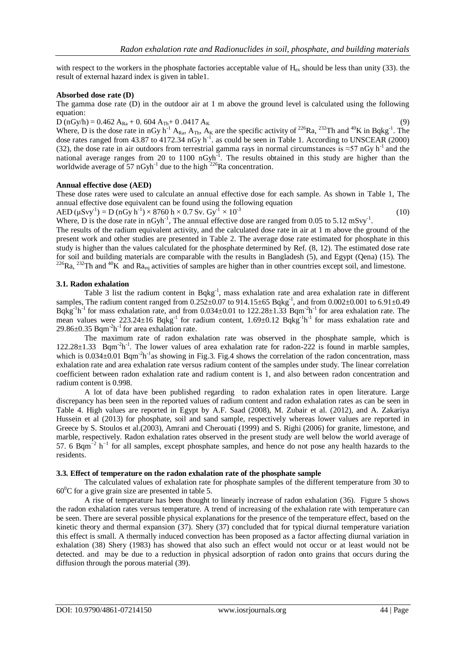with respect to the workers in the phosphate factories acceptable value of  $H_{ex}$  should be less than unity (33). the result of external hazard index is given in table1.

#### **Absorbed dose rate (D)**

The gamma dose rate (D) in the outdoor air at 1 m above the ground level is calculated using the following equation:

 $D (nGy/h) = 0.462 A_{Ra} + 0.604 A_{Th} + 0.0417 A_{K}$  (9)

Where, D is the dose rate in nGy h<sup>-1</sup> A<sub>Ra</sub>, A<sub>Th</sub>, A<sub>K</sub> are the specific activity of <sup>226</sup>Ra, <sup>232</sup>Th and <sup>40</sup>K in Bqkg<sup>-1</sup>. The dose rates ranged from 43.87 to 4172.34 nGy  $h^{-1}$ . as could be seen in Table 1. According to UNSCEAR (2000) (32), the dose rate in air outdoors from terrestrial gamma rays in normal circumstances is  $\approx$ 57 nGy h<sup>-1</sup> and the national average ranges from 20 to 1100  $nGyh^{-1}$ . The results obtained in this study are higher than the worldwide average of 57  $nGyh^{-1}$  due to the high  $^{226}$ Ra concentration.

# **Annual effective dose (AED)**

These dose rates were used to calculate an annual effective dose for each sample. As shown in Table 1, The annual effective dose equivalent can be found using the following equation

$$
AED (\mu Svy-1) = D (nGy h-1) \times 8760 h \times 0.7 Sv. Gy-1 \times 10-3
$$
 (10)

Where, D is the dose rate in  $nGyh^{-1}$ , The annual effective dose are ranged from 0.05 to 5.12 mSvy<sup>-1</sup>.

The results of the radium equivalent activity, and the calculated dose rate in air at 1 m above the ground of the present work and other studies are presented in Table 2. The average dose rate estimated for phosphate in this study is higher than the values calculated for the phosphate determined by Ref. (8, 12). The estimated dose rate for soil and building materials are comparable with the results in Bangladesh (5), and Egypt (Qena) (15). The <sup>226</sup>Ra, <sup>232</sup>Th and <sup>40</sup>K and Ra<sub>eq</sub> activities of samples are higher than in other countries except soil, and limestone.

#### **3.1. Radon exhalation**

Table 3 list the radium content in  $Bqkg^{-1}$ , mass exhalation rate and area exhalation rate in different samples, The radium content ranged from  $0.252 \pm 0.07$  to 914.15 $\pm 65$  Bqkg<sup>-1</sup>, and from  $0.002 \pm 0.001$  to 6.91 $\pm 0.49$ Bqkg<sup>-1</sup>h<sup>-1</sup> for mass exhalation rate, and from  $0.034 \pm 0.01$  to  $122.28 \pm 1.33$  Bqm<sup>-2</sup>h<sup>-1</sup> for area exhalation rate. The mean values were  $223.24 \pm 16$  Bqkg<sup>-1</sup> for radium content,  $1.69 \pm 0.12$  Bqkg<sup>-1</sup>h<sup>-1</sup> for mass exhalation rate and  $29.86 \pm 0.35$  Bqm<sup>-2</sup>h<sup>-1</sup> for area exhalation rate.

The maximum rate of radon exhalation rate was observed in the phosphate sample, which is  $122.28 \pm 1.33$  Bqm<sup>-2</sup>h<sup>-1</sup>. The lower values of area exhalation rate for radon-222 is found in marble samples, which is  $0.034 \pm 0.01$  Bqm<sup>-2</sup>h<sup>-1</sup> as showing in Fig.3. Fig.4 shows the correlation of the radon concentration, mass exhalation rate and area exhalation rate versus radium content of the samples under study. The linear correlation coefficient between radon exhalation rate and radium content is 1, and also between radon concentration and radium content is 0.998.

A lot of data have been published regarding to radon exhalation rates in open literature. Large discrepancy has been seen in the reported values of radium content and radon exhalation rates as can be seen in Table 4. High values are reported in Egypt by A.F. Saad (2008), M. Zubair et al. (2012), and A. Zakariya Hussein et al (2013) for phosphate, soil and sand sample, respectively whereas lower values are reported in Greece by S. Stoulos et al.(2003), Amrani and Cherouati (1999) and S. Righi (2006) for granite, limestone, and marble, respectively. Radon exhalation rates observed in the present study are well below the world average of 57. 6 Bqm<sup> $-2$ </sup> h<sup>-1</sup> for all samples, except phosphate samples, and hence do not pose any health hazards to the residents.

#### **3.3. Effect of temperature on the radon exhalation rate of the phosphate sample**

The calculated values of exhalation rate for phosphate samples of the different temperature from 30 to  $60^{\circ}$ C for a give grain size are presented in table 5.

A rise of temperature has been thought to linearly increase of radon exhalation (36). Figure 5 shows the radon exhalation rates versus temperature. A trend of increasing of the exhalation rate with temperature can be seen. There are several possible physical explanations for the presence of the temperature effect, based on the kinetic theory and thermal expansion (37). Shery (37) concluded that for typical diurnal temperature variation this effect is small. A thermally induced convection has been proposed as a factor affecting diurnal variation in exhalation (38) Shery (1983) has showed that also such an effect would not occur or at least would not be detected. and may be due to a reduction in physical adsorption of radon onto grains that occurs during the diffusion through the porous material (39).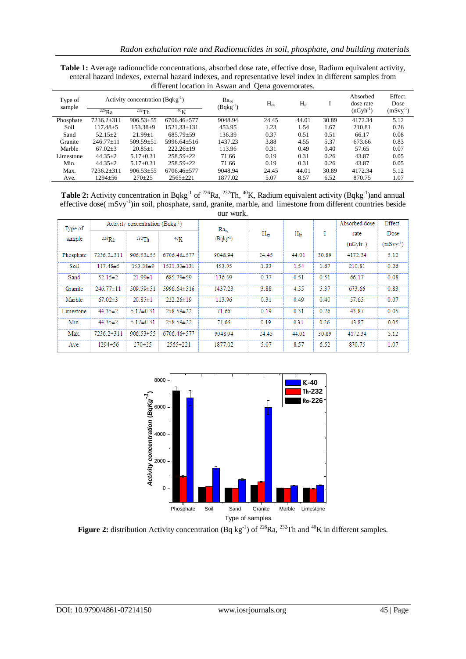| <b>Table 1:</b> Average radionuclide concentrations, absorbed dose rate, effective dose, Radium equivalent activity, |
|----------------------------------------------------------------------------------------------------------------------|
| enteral hazard indexes, external hazard indexes, and representative level index in different samples from            |
| different location in Aswan and Qena governorates.                                                                   |

| Type of<br>sample | Activity concentration $(Bqkg^{-1})$ |                 |                      | $Ra_{eq}$<br>$(Bqkg^{-1})$ | $H_{ex}$ | $H_{in}$ |       | Absorbed<br>dose rate | Effect.<br>Dose |
|-------------------|--------------------------------------|-----------------|----------------------|----------------------------|----------|----------|-------|-----------------------|-----------------|
|                   | $^{226}Ra$                           | $^{232}$ Th     | 40 <sub>U</sub><br>N |                            |          |          |       | $(nGv h^{-1})$        | $(mSvy^{-1})$   |
| Phosphate         | 7236.2±311                           | $906.53 + 55$   | 6706.46+577          | 9048.94                    | 24.45    | 44.01    | 30.89 | 4172.34               | 5.12            |
| Soil              | $117.48 \pm 5$                       | 153.38±9        | 1521.33+131          | 453.95                     | 1.23     | 1.54     | 1.67  | 210.81                | 0.26            |
| Sand              | $52.15 \pm 2$                        | $21.99+1$       | 685.79+59            | 136.39                     | 0.37     | 0.51     | 0.51  | 66.17                 | 0.08            |
| Granite           | $246.77 + 11$                        | $509.59 \pm 51$ | 5996.64+516          | 1437.23                    | 3.88     | 4.55     | 5.37  | 673.66                | 0.83            |
| Marble            | $67.02 \pm 3$                        | $20.85 \pm 1$   | $222.26+19$          | 113.96                     | 0.31     | 0.49     | 0.40  | 57.65                 | 0.07            |
| Limestone         | $44.35 \pm 2$                        | $5.17 + 0.31$   | $258.59 + 22$        | 71.66                      | 0.19     | 0.31     | 0.26  | 43.87                 | 0.05            |
| Min.              | $44.35 + 2$                          | $5.17+0.31$     | $258.59 + 22$        | 71.66                      | 0.19     | 0.31     | 0.26  | 43.87                 | 0.05            |
| Max.              | $7236.2 + 311$                       | $906.53 + 55$   | 6706.46+577          | 9048.94                    | 24.45    | 44.01    | 30.89 | 4172.34               | 5.12            |
| Ave.              | $1294 \pm 56$                        | $270+25$        | $2565 \pm 221$       | 1877.02                    | 5.07     | 8.57     | 6.52  | 870.75                | 1.07            |

**Table 2:** Activity concentration in Bqkg<sup>-1</sup> of <sup>226</sup>Ra, <sup>232</sup>Th, <sup>40</sup>K, Radium equivalent activity (Bqkg<sup>-1</sup>)and annual effective dose( mSvy<sup>-1</sup>)in soil, phosphate, sand, granite, marble, and limestone from different countries beside our work.

| Type of<br>sample | Activity concentration (Bqkg <sup>-1</sup> ) |                 |                   |                                   |              |          |       | Absorbed dose  | Effect.    |
|-------------------|----------------------------------------------|-----------------|-------------------|-----------------------------------|--------------|----------|-------|----------------|------------|
|                   | $226$ Ra                                     | 232Th           | 40 <sub>K</sub>   | Ra <sub>so</sub><br>$(Bqkg^{-1})$ | $H_{\rm av}$ | $H_{in}$ | Ŧ.    | rate           | Dose       |
|                   |                                              |                 |                   |                                   |              |          |       | $(nGv h^{-1})$ | $(mSvv-1)$ |
| Phosphate         | 7236.2±311                                   | $906.53 \pm 55$ | 6706.46±577       | 9048.94                           | 24.45        | 44.01    | 30.89 | 4172.34        | 5.12       |
| Soil              | $117.48 \pm 5$                               | $153.38 \pm 9$  | $1521.33 \pm 131$ | 453.95                            | 1.23         | 1.54     | 1.67  | 210.81         | 0.26       |
| Sand              | $52.15 \pm 2$                                | $21.99 \pm 1$   | 685.79±59         | 136.39                            | 0.37         | 0.51     | 0.51  | 66.17          | 0.08       |
| Granite           | $246.77 \pm 11$                              | 509.59±51       | $5996.64 \pm 516$ | 1437.23                           | 3.88         | 4.55     | 5.37  | 673.66         | 0.83       |
| Marble            | $67.02 \pm 3$                                | $20.85 \pm 1$   | $222.26 \pm 19$   | 113.96                            | 0.31         | 0.49     | 0.40  | 57.65          | 0.07       |
| Limestone         | $44.35 \pm 2$                                | $5.17 \pm 0.31$ | $258.59 \pm 22$   | 71.66                             | 0.19         | 0.31     | 0.26  | 43.87          | 0.05       |
| Min.              | $44.35 \pm 2$                                | $5.17 \pm 0.31$ | $258.59 \pm 22$   | 71.66                             | 0.19         | 0.31     | 0.26  | 43.87          | 0.05       |
| Max.              | $7236.2 \pm 311$                             | $906.53 \pm 55$ | 6706.46±577       | 9048.94                           | 24.45        | 44.01    | 30.89 | 4172.34        | 5.12       |
| Ave.              | $1294 \pm 56$                                | $270+25$        | $2565 \pm 221$    | 1877.02                           | 5.07         | 8.57     | 6.52  | 870.75         | 1.07       |



**Figure 2:** distribution Activity concentration (Bq kg<sup>-1</sup>) of <sup>226</sup>Ra, <sup>232</sup>Th and <sup>40</sup>K in different samples.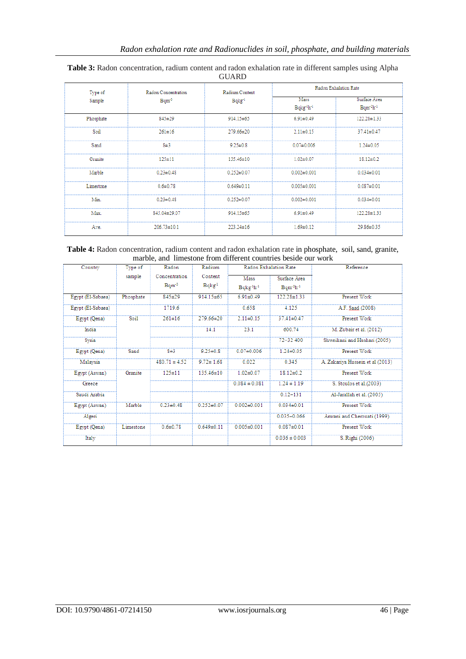| Type of   | Radon Concentration | Radium Content   |                                            | Radon Exhalation Rate            |
|-----------|---------------------|------------------|--------------------------------------------|----------------------------------|
| Sample    | $Bqm^{-3}$          | $Bqkg^{-1}$      | Mass<br>Bqkg <sup>-1</sup> h <sup>-1</sup> | Surface Area<br>$Bqm^{-2}h^{-1}$ |
| Phosphate | $845 \pm 29$        | $914.15 \pm 65$  | $6.91 \pm 0.49$                            | $122.28 \pm 1.33$                |
| Soil      | $261 \pm 16$        | $279.66 \pm 20$  | $2.11 \pm 0.15$                            | $37.41 \pm 0.47$                 |
| Sand      | $8\pm3$             | $9.25 \pm 0.8$   | $0.07 \pm 0.006$                           | $1.24 \pm 0.05$                  |
| Granite   | $125 + 11$          | $135.46 \pm 10$  | $1.02 \pm 0.07$                            | $18.12 \pm 0.2$                  |
| Marble    | $0.23 \pm 0.48$     | $0.252 \pm 0.07$ | $0.002 \pm 0.001$                          | $0.034 \pm 0.01$                 |
| Limestone | $0.6 \pm 0.78$      | $0.649 \pm 0.11$ | $0.005 \pm 0.001$                          | $0.087 + 0.01$                   |
| Min.      | $0.23 \pm 0.48$     | $0.252 \pm 0.07$ | $0.002 \pm 0.001$                          | $0.034 \pm 0.01$                 |
| Max.      | 845.04±29.07        | $914.15 \pm 65$  | $6.91 \pm 0.49$                            | $122.28 \pm 1.33$                |
| Ave.      | $206.73 \pm 10.1$   | $223.24 \pm 16$  | $1.69 \pm 0.12$                            | 29.86±0.35                       |

#### **Table 3:** Radon concentration, radium content and radon exhalation rate in different samples using Alpha GUARD

| Table 4: Radon concentration, radium content and radon exhalation rate in phosphate, soil, sand, granite, |                                                                |  |  |
|-----------------------------------------------------------------------------------------------------------|----------------------------------------------------------------|--|--|
|                                                                                                           | marble, and limestone from different countries beside our work |  |  |

| Country           | Type of   | Radon             | Radium            | Radon Exhalation Rate |                   | Reference                        |
|-------------------|-----------|-------------------|-------------------|-----------------------|-------------------|----------------------------------|
|                   | sample    | Concentration     | Content           | Mass                  | Surface Area      |                                  |
|                   |           | $Bqm-3$           | Bqkg <sup>1</sup> | $Bqkg1h-1$            | $Bqm^2h^{-1}$     |                                  |
| Egypt (El-Sabaea) | Phosphate | $845 \pm 29$      | 914.15±65         | $6.91 \pm 0.49$       | 122.28±1.33       | Present Work                     |
| Egypt (El-Sabaea) |           | 1719.6            |                   | 0.658                 | 4.125             | A.F. Saad (2008)                 |
| Egypt (Qena)      | Soi1      | $261 \pm 16$      | 279.66±20         | $2.11 \pm 0.15$       | $37.41 \pm 0.47$  | Present Work                     |
| India             |           |                   | 14.1              | 23.1                  | 600.74            | M. Zubair et al. (2012)          |
| Syria             |           |                   |                   |                       | 72-32 400         | Shweikani and Hushari (2005)     |
| Egypt (Qena)      | Sand      | $8\pm3$           | $9.25 \pm 0.8$    | $0.07 + 0.006$        | $1.24 \pm 0.05$   | Present Work                     |
| Malaysia          |           | $480.71 \pm 4.52$ | $9.72 \pm 1.68$   | 0.022                 | 0.345             | A. Zakariya Hussein et al (2013) |
| Egypt (Aswan)     | Granite   | $125 \pm 11$      | 135.46±10         | $1.02 \pm 0.07$       | $18.12 \pm 0.2$   | Present Work                     |
| Greece            |           |                   |                   | $0.084 \pm 0.081$     | $1.24 \pm 1.19$   | S. Stoulos et al.(2003)          |
| Saudi Arabia      |           |                   |                   |                       | $0.12 - 131$      | Al-Jarallah et al. (2005)        |
| Egypt (Aswan)     | Marble    | $0.23 \pm 0.48$   | $0.252 \pm 0.07$  | $0.002 \pm 0.001$     | $0.034 \pm 0.01$  | Present Work                     |
| Algeri            |           |                   |                   |                       | $0.035 - 0.066$   | Amrani and Cherouati (1999)      |
| Egypt (Qena)      | Limestone | $0.6 \pm 0.78$    | $0.649 \pm 0.11$  | $0.005 \pm 0.001$     | $0.087 \pm 0.01$  | Present Work                     |
| Italy             |           |                   |                   |                       | $0.036 \pm 0.003$ | S. Righi (2006)                  |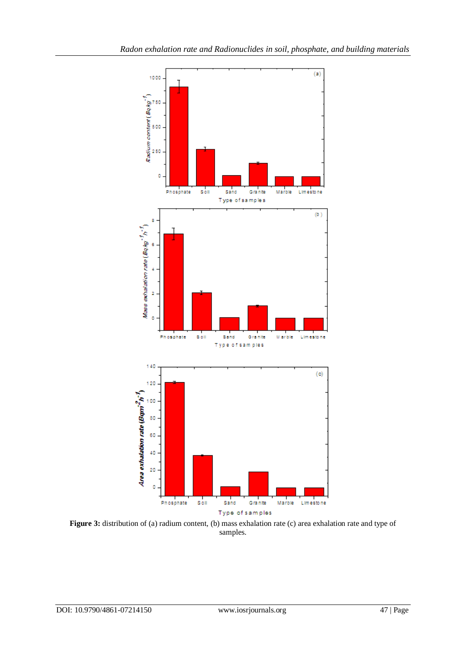

**Figure 3:** distribution of (a) radium content, (b) mass exhalation rate (c) area exhalation rate and type of samples.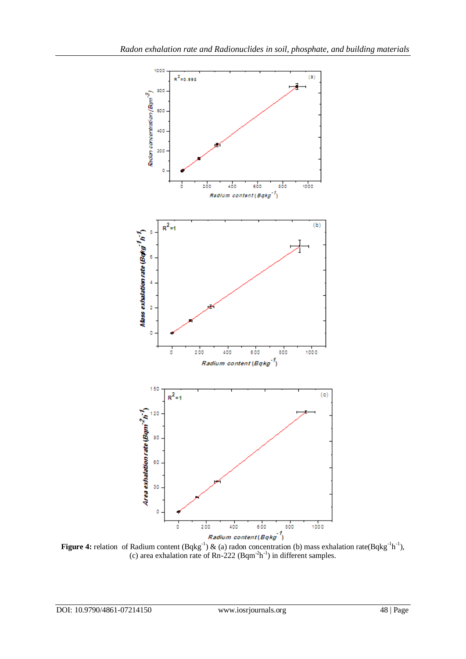

**Figure 4:** relation of Radium content (Bqkg<sup>-1</sup>) & (a) radon concentration (b) mass exhalation rate(Bqkg<sup>-1</sup>h<sup>-1</sup>), (c) area exhalation rate of  $Rn-222$  (Bqm<sup>-2</sup>h<sup>-1</sup>) in different samples.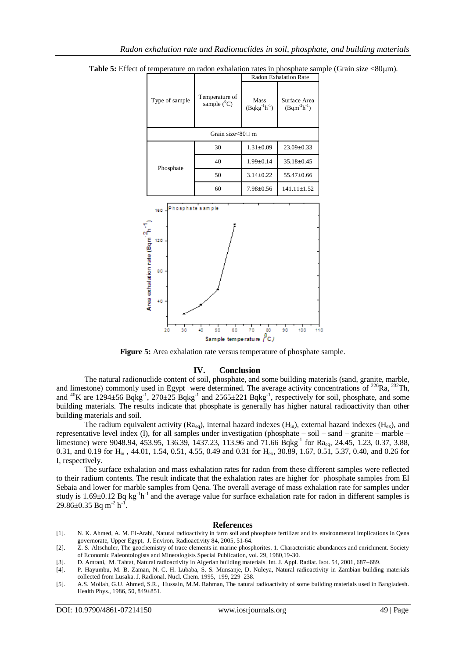|                                                                                                     |                                  |                             | Radon Exhalation Rate                  |
|-----------------------------------------------------------------------------------------------------|----------------------------------|-----------------------------|----------------------------------------|
| Type of sample                                                                                      | Temperature of<br>sample $(^0C)$ | Mass<br>$(Bqkg^{-1}h^{-1})$ | Surface Area<br>$(Bqm^2h^{\text{-}1})$ |
|                                                                                                     | Grain size<80□ m                 |                             |                                        |
|                                                                                                     | 30                               | $1.31 \pm 0.09$             | 23.09±0.33                             |
| Phosphate                                                                                           | 40                               | $1.99 \pm 0.14$             | 35.18±0.45                             |
|                                                                                                     | 50                               | $3.14 \pm 0.22$             | 55.47±0.66                             |
|                                                                                                     | 60                               | $7.98 \pm 0.56$             | $141.11 \pm 1.52$                      |
| Phosphate sample<br>160<br>Area exhalation rate (Bqm <sup>-2</sup> h<br>120<br>80<br>40<br>30<br>20 | 40<br>50<br>60                   | 80<br>70                    | 90<br>100<br>110                       |
|                                                                                                     | Sample temperature $\int_C$      |                             |                                        |

**Table 5:** Effect of temperature on radon exhalation rates in phosphate sample (Grain size <80 $\mu$ m).

**Figure 5:** Area exhalation rate versus temperature of phosphate sample.

# **IV. Conclusion**

The natural radionuclide content of soil, phosphate, and some building materials (sand, granite, marble, and limestone) commonly used in Egypt were determined. The average activity concentrations of <sup>226</sup>Ra, <sup>232</sup>Th, and <sup>40</sup>K are 1294 $\pm$ 56 Bqkg<sup>-1</sup>, 270 $\pm$ 25 Bqkg<sup>-1</sup> and 2565 $\pm$ 221 Bqkg<sup>-1</sup>, respectively for soil, phosphate, and some building materials. The results indicate that phosphate is generally has higher natural radioactivity than other building materials and soil.

The radium equivalent activity ( $Ra_{eq}$ ), internal hazard indexes ( $H_{in}$ ), external hazard indexes ( $H_{ex}$ ), and representative level index (I), for all samples under investigation (phosphate – soil – sand – granite – marble – limestone) were 9048.94, 453.95, 136.39, 1437.23, 113.96 and 71.66 Bqkg<sup>-1</sup> for Ra<sub>eq</sub>, 24.45, 1.23, 0.37, 3.88, 0.31, and 0.19 for H<sub>in</sub>, 44.01, 1.54, 0.51, 4.55, 0.49 and 0.31 for H<sub>ex</sub>, 30.89, 1.67, 0.51, 5.37, 0.40, and 0.26 for I, respectively.

The surface exhalation and mass exhalation rates for radon from these different samples were reflected to their radium contents. The result indicate that the exhalation rates are higher for phosphate samples from El Sebaia and lower for marble samples from Qena. The overall average of mass exhalation rate for samples under study is  $1.69 \pm 0.12$  Bq kg<sup>-1</sup>h<sup>-1</sup> and the average value for surface exhalation rate for radon in different samples is  $29.86 \pm 0.35$  Bq m<sup>-2</sup> h<sup>-1</sup>.

# **References**

- [1]. N. K. Ahmed, A. M. El-Arabi, Natural radioactivity in farm soil and phosphate fertilizer and its environmental implications in Qena governorate, Upper Egypt, J. Environ. Radioactivity 84, 2005, 51-64.
- [2]. Z. S. Altschuler, The geochemistry of trace elements in marine phosphorites. 1. Characteristic abundances and enrichment. Society of Economic Paleontologists and Mineralogists Special Publication, vol. 29, 1980,19-30.
- [3]. D. Amrani, M. Tahtat, Natural radioactivity in Algerian building materials. Int. J. Appl. Radiat. Isot. 54, 2001, 687–689.
- [4]. P. Hayumbu, M. B. Zaman, N. C. H. Lubaba, S. S. Munsanje, D. Nuleya, Natural radioactivity in Zambian building materials collected from Lusaka. J. Radional. Nucl. Chem. 1995, 199, 229–238.
- [5]. A.S. Mollah, G.U. Ahmed, S.R., Hussain, M.M. Rahman, The natural radioactivity of some building materials used in Bangladesh. Health Phys., 1986, 50, 849±851.